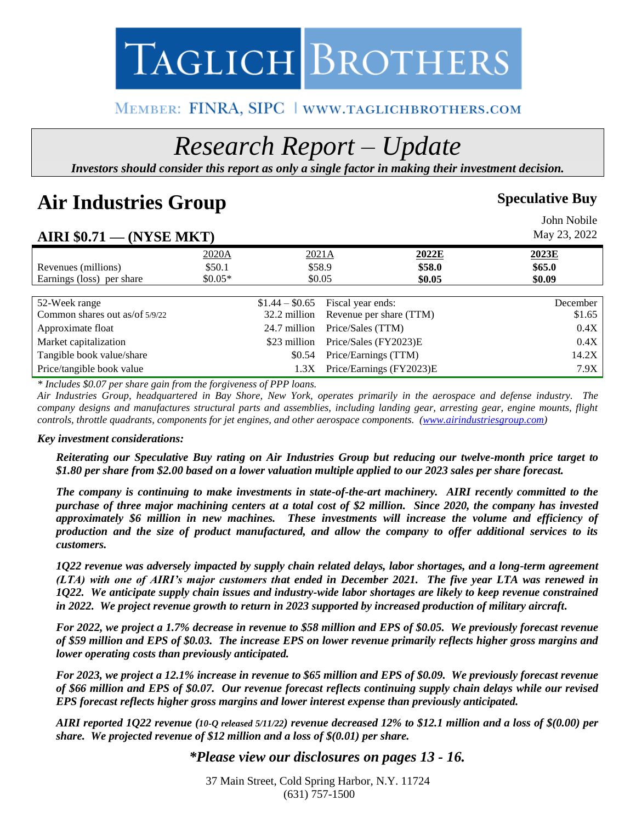# TAGLICH BROTHERS

### MEMBER: FINRA, SIPC | WWW.TAGLICHBROTHERS.COM

## *Research Report – Update*

*Investors should consider this report as only a single factor in making their investment decision.*

### Air Industries Group **Speculative Buy Speculative Buy**

|                                |          |                                      |                          |        | John Nobile  |
|--------------------------------|----------|--------------------------------------|--------------------------|--------|--------------|
| AIRI $$0.71$ — (NYSE MKT)      |          |                                      |                          |        | May 23, 2022 |
|                                | 2020A    | 2021A                                | 2022E                    |        | 2023E        |
| Revenues (millions)            | \$50.1   |                                      | \$58.9                   | \$58.0 | \$65.0\$     |
| Earnings (loss) per share      | $$0.05*$ |                                      | \$0.05                   | \$0.05 | \$0.09       |
|                                |          |                                      |                          |        |              |
| 52-Week range                  |          | Fiscal year ends:<br>$$1.44 - $0.65$ |                          |        | December     |
| Common shares out as/of 5/9/22 |          | 32.2 million                         | Revenue per share (TTM)  |        | \$1.65       |
| Approximate float              |          | 24.7 million                         | Price/Sales (TTM)        |        | 0.4X         |
| Market capitalization          |          | \$23 million                         | Price/Sales (FY2023)E    |        | 0.4X         |
| Tangible book value/share      |          | \$0.54                               | Price/Earnings (TTM)     |        | 14.2X        |
| Price/tangible book value      |          | 1.3X                                 | Price/Earnings (FY2023)E |        | 7.9X         |

*\* Includes \$0.07 per share gain from the forgiveness of PPP loans.*

*Air Industries Group, headquartered in Bay Shore, New York, operates primarily in the aerospace and defense industry. The company designs and manufactures structural parts and assemblies, including landing gear, arresting gear, engine mounts, flight controls, throttle quadrants, components for jet engines, and other aerospace components. [\(www.airindustriesgroup.com\)](http://www.airindustriesgroup.com/)* 

#### *Key investment considerations:*

*Reiterating our Speculative Buy rating on Air Industries Group but reducing our twelve-month price target to \$1.80 per share from \$2.00 based on a lower valuation multiple applied to our 2023 sales per share forecast.* 

*The company is continuing to make investments in state-of-the-art machinery. AIRI recently committed to the purchase of three major machining centers at a total cost of \$2 million. Since 2020, the company has invested approximately \$6 million in new machines. These investments will increase the volume and efficiency of production and the size of product manufactured, and allow the company to offer additional services to its customers.* 

*1Q22 revenue was adversely impacted by supply chain related delays, labor shortages, and a long-term agreement (LTA) with one of AIRI's major customers that ended in December 2021. The five year LTA was renewed in 1Q22. We anticipate supply chain issues and industry-wide labor shortages are likely to keep revenue constrained in 2022. We project revenue growth to return in 2023 supported by increased production of military aircraft.* 

*For 2022, we project a 1.7% decrease in revenue to \$58 million and EPS of \$0.05. We previously forecast revenue of \$59 million and EPS of \$0.03. The increase EPS on lower revenue primarily reflects higher gross margins and lower operating costs than previously anticipated.* 

*For 2023, we project a 12.1% increase in revenue to \$65 million and EPS of \$0.09. We previously forecast revenue of \$66 million and EPS of \$0.07. Our revenue forecast reflects continuing supply chain delays while our revised EPS forecast reflects higher gross margins and lower interest expense than previously anticipated.* 

*AIRI reported 1Q22 revenue (10-Q released 5/11/22) revenue decreased 12% to \$12.1 million and a loss of \$(0.00) per share. We projected revenue of \$12 million and a loss of \$(0.01) per share.* 

#### *\*Please view our disclosures on pages 13 - 16.*

37 Main Street, Cold Spring Harbor, N.Y. 11724 (631) 757-1500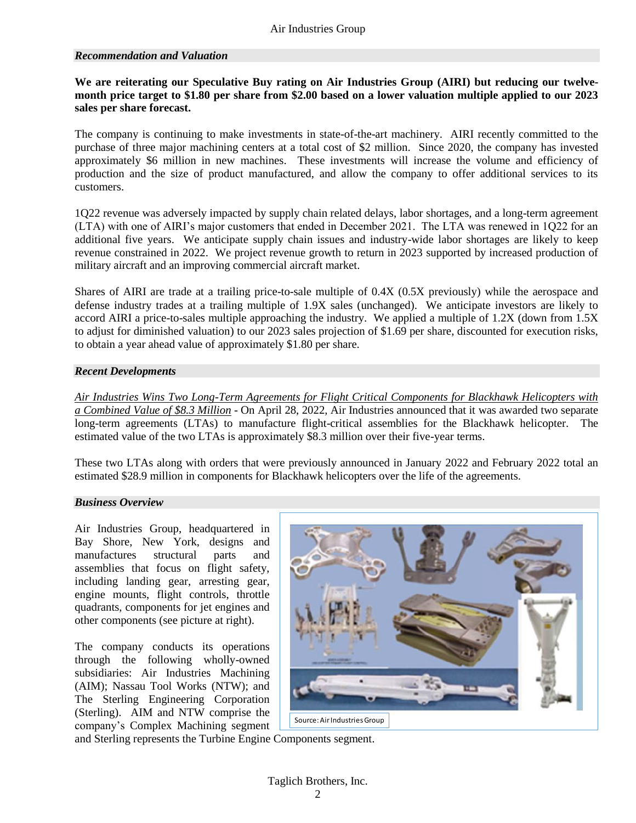#### *Recommendation and Valuation*

#### **We are reiterating our Speculative Buy rating on Air Industries Group (AIRI) but reducing our twelvemonth price target to \$1.80 per share from \$2.00 based on a lower valuation multiple applied to our 2023 sales per share forecast.**

The company is continuing to make investments in state-of-the-art machinery. AIRI recently committed to the purchase of three major machining centers at a total cost of \$2 million. Since 2020, the company has invested approximately \$6 million in new machines. These investments will increase the volume and efficiency of production and the size of product manufactured, and allow the company to offer additional services to its customers.

1Q22 revenue was adversely impacted by supply chain related delays, labor shortages, and a long-term agreement (LTA) with one of AIRI's major customers that ended in December 2021. The LTA was renewed in 1Q22 for an additional five years. We anticipate supply chain issues and industry-wide labor shortages are likely to keep revenue constrained in 2022. We project revenue growth to return in 2023 supported by increased production of military aircraft and an improving commercial aircraft market.

Shares of AIRI are trade at a trailing price-to-sale multiple of 0.4X (0.5X previously) while the aerospace and defense industry trades at a trailing multiple of 1.9X sales (unchanged). We anticipate investors are likely to accord AIRI a price-to-sales multiple approaching the industry. We applied a multiple of 1.2X (down from 1.5X to adjust for diminished valuation) to our 2023 sales projection of \$1.69 per share, discounted for execution risks, to obtain a year ahead value of approximately \$1.80 per share.

#### *Recent Developments*

*Air Industries Wins Two Long-Term Agreements for Flight Critical Components for Blackhawk Helicopters with a Combined Value of \$8.3 Million* - On April 28, 2022, Air Industries announced that it was awarded two separate long-term agreements (LTAs) to manufacture flight-critical assemblies for the Blackhawk helicopter. The estimated value of the two LTAs is approximately \$8.3 million over their five-year terms.

These two LTAs along with orders that were previously announced in January 2022 and February 2022 total an estimated \$28.9 million in components for Blackhawk helicopters over the life of the agreements.

#### *Business Overview*

Air Industries Group, headquartered in Bay Shore, New York, designs and manufactures structural parts and assemblies that focus on flight safety, including landing gear, arresting gear, engine mounts, flight controls, throttle quadrants, components for jet engines and other components (see picture at right).

The company conducts its operations through the following wholly-owned subsidiaries: Air Industries Machining (AIM); Nassau Tool Works (NTW); and The Sterling Engineering Corporation (Sterling). AIM and NTW comprise the company's Complex Machining segment



and Sterling represents the Turbine Engine Components segment.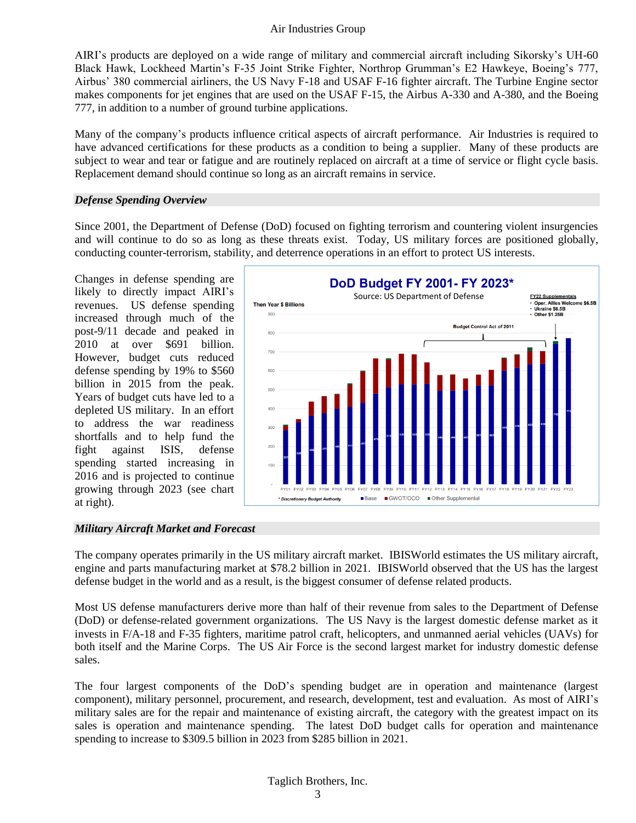AIRI's products are deployed on a wide range of military and commercial aircraft including Sikorsky's UH-60 Black Hawk, Lockheed Martin's F-35 Joint Strike Fighter, Northrop Grumman's E2 Hawkeye, Boeing's 777, Airbus' 380 commercial airliners, the US Navy F-18 and USAF F-16 fighter aircraft. The Turbine Engine sector makes components for jet engines that are used on the USAF F-15, the Airbus A-330 and A-380, and the Boeing 777, in addition to a number of ground turbine applications.

Many of the company's products influence critical aspects of aircraft performance. Air Industries is required to have advanced certifications for these products as a condition to being a supplier. Many of these products are subject to wear and tear or fatigue and are routinely replaced on aircraft at a time of service or flight cycle basis. Replacement demand should continue so long as an aircraft remains in service.

#### *Defense Spending Overview*

Since 2001, the Department of Defense (DoD) focused on fighting terrorism and countering violent insurgencies and will continue to do so as long as these threats exist. Today, US military forces are positioned globally, conducting counter-terrorism, stability, and deterrence operations in an effort to protect US interests.

Changes in defense spending are likely to directly impact AIRI's revenues. US defense spending increased through much of the post-9/11 decade and peaked in 2010 at over \$691 billion. However, budget cuts reduced defense spending by 19% to \$560 billion in 2015 from the peak. Years of budget cuts have led to a depleted US military. In an effort to address the war readiness shortfalls and to help fund the fight against ISIS, defense spending started increasing in 2016 and is projected to continue growing through 2023 (see chart at right).



#### *Military Aircraft Market and Forecast*

The company operates primarily in the US military aircraft market. IBISWorld estimates the US military aircraft, engine and parts manufacturing market at \$78.2 billion in 2021. IBISWorld observed that the US has the largest defense budget in the world and as a result, is the biggest consumer of defense related products.

Most US defense manufacturers derive more than half of their revenue from sales to the Department of Defense (DoD) or defense-related government organizations. The US Navy is the largest domestic defense market as it invests in F/A-18 and F-35 fighters, maritime patrol craft, helicopters, and unmanned aerial vehicles (UAVs) for both itself and the Marine Corps. The US Air Force is the second largest market for industry domestic defense sales.

The four largest components of the DoD's spending budget are in operation and maintenance (largest component), military personnel, procurement, and research, development, test and evaluation. As most of AIRI's military sales are for the repair and maintenance of existing aircraft, the category with the greatest impact on its sales is operation and maintenance spending. The latest DoD budget calls for operation and maintenance spending to increase to \$309.5 billion in 2023 from \$285 billion in 2021.

#### Taglich Brothers, Inc.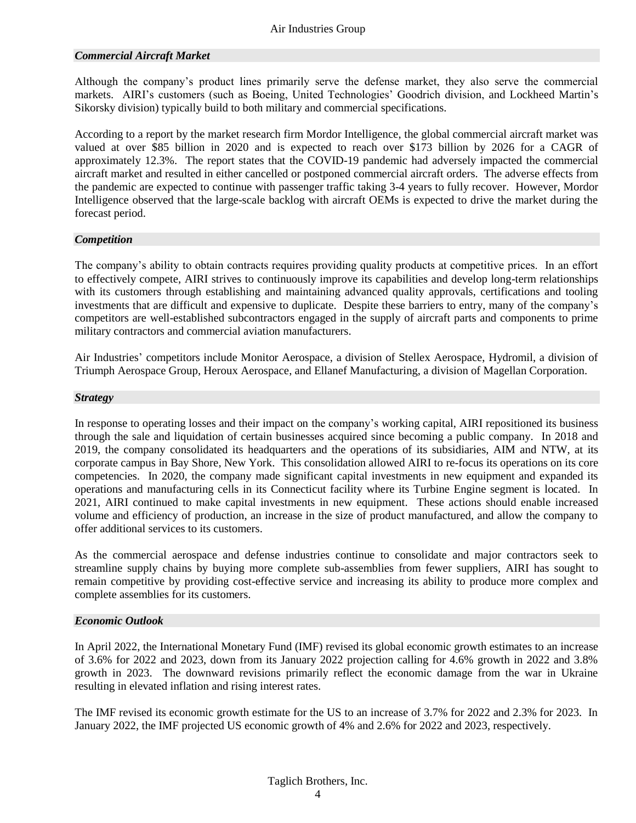#### *Commercial Aircraft Market*

Although the company's product lines primarily serve the defense market, they also serve the commercial markets. AIRI's customers (such as Boeing, United Technologies' Goodrich division, and Lockheed Martin's Sikorsky division) typically build to both military and commercial specifications.

According to a report by the market research firm Mordor Intelligence, the global commercial aircraft market was valued at over \$85 billion in 2020 and is expected to reach over \$173 billion by 2026 for a CAGR of approximately 12.3%. The report states that the COVID-19 pandemic had adversely impacted the commercial aircraft market and resulted in either cancelled or postponed commercial aircraft orders. The adverse effects from the pandemic are expected to continue with passenger traffic taking 3-4 years to fully recover. However, Mordor Intelligence observed that the large-scale backlog with aircraft OEMs is expected to drive the market during the forecast period.

#### *Competition*

The company's ability to obtain contracts requires providing quality products at competitive prices. In an effort to effectively compete, AIRI strives to continuously improve its capabilities and develop long-term relationships with its customers through establishing and maintaining advanced quality approvals, certifications and tooling investments that are difficult and expensive to duplicate. Despite these barriers to entry, many of the company's competitors are well-established subcontractors engaged in the supply of aircraft parts and components to prime military contractors and commercial aviation manufacturers.

Air Industries' competitors include Monitor Aerospace, a division of Stellex Aerospace, Hydromil, a division of Triumph Aerospace Group, Heroux Aerospace, and Ellanef Manufacturing, a division of Magellan Corporation.

#### *Strategy*

In response to operating losses and their impact on the company's working capital, AIRI repositioned its business through the sale and liquidation of certain businesses acquired since becoming a public company. In 2018 and 2019, the company consolidated its headquarters and the operations of its subsidiaries, AIM and NTW, at its corporate campus in Bay Shore, New York. This consolidation allowed AIRI to re-focus its operations on its core competencies. In 2020, the company made significant capital investments in new equipment and expanded its operations and manufacturing cells in its Connecticut facility where its Turbine Engine segment is located. In 2021, AIRI continued to make capital investments in new equipment. These actions should enable increased volume and efficiency of production, an increase in the size of product manufactured, and allow the company to offer additional services to its customers.

As the commercial aerospace and defense industries continue to consolidate and major contractors seek to streamline supply chains by buying more complete sub-assemblies from fewer suppliers, AIRI has sought to remain competitive by providing cost-effective service and increasing its ability to produce more complex and complete assemblies for its customers.

#### *Economic Outlook*

In April 2022, the International Monetary Fund (IMF) revised its global economic growth estimates to an increase of 3.6% for 2022 and 2023, down from its January 2022 projection calling for 4.6% growth in 2022 and 3.8% growth in 2023. The downward revisions primarily reflect the economic damage from the war in Ukraine resulting in elevated inflation and rising interest rates.

The IMF revised its economic growth estimate for the US to an increase of 3.7% for 2022 and 2.3% for 2023. In January 2022, the IMF projected US economic growth of 4% and 2.6% for 2022 and 2023, respectively.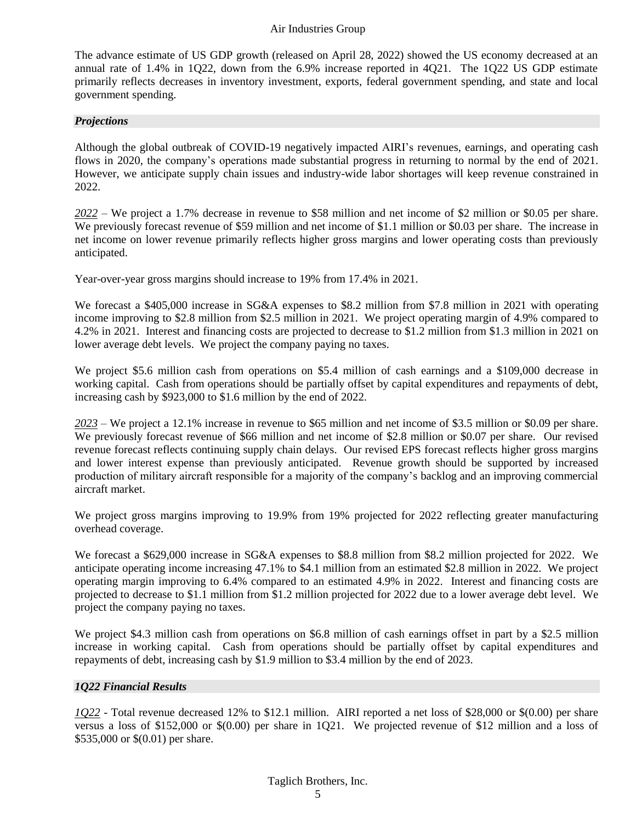The advance estimate of US GDP growth (released on April 28, 2022) showed the US economy decreased at an annual rate of 1.4% in 1Q22, down from the 6.9% increase reported in 4Q21. The 1Q22 US GDP estimate primarily reflects decreases in inventory investment, exports, federal government spending, and state and local government spending.

#### *Projections*

Although the global outbreak of COVID-19 negatively impacted AIRI's revenues, earnings, and operating cash flows in 2020, the company's operations made substantial progress in returning to normal by the end of 2021. However, we anticipate supply chain issues and industry-wide labor shortages will keep revenue constrained in 2022.

*2022* – We project a 1.7% decrease in revenue to \$58 million and net income of \$2 million or \$0.05 per share. We previously forecast revenue of \$59 million and net income of \$1.1 million or \$0.03 per share. The increase in net income on lower revenue primarily reflects higher gross margins and lower operating costs than previously anticipated.

Year-over-year gross margins should increase to 19% from 17.4% in 2021.

We forecast a \$405,000 increase in SG&A expenses to \$8.2 million from \$7.8 million in 2021 with operating income improving to \$2.8 million from \$2.5 million in 2021. We project operating margin of 4.9% compared to 4.2% in 2021. Interest and financing costs are projected to decrease to \$1.2 million from \$1.3 million in 2021 on lower average debt levels. We project the company paying no taxes.

We project \$5.6 million cash from operations on \$5.4 million of cash earnings and a \$109,000 decrease in working capital. Cash from operations should be partially offset by capital expenditures and repayments of debt, increasing cash by \$923,000 to \$1.6 million by the end of 2022.

*2023* – We project a 12.1% increase in revenue to \$65 million and net income of \$3.5 million or \$0.09 per share. We previously forecast revenue of \$66 million and net income of \$2.8 million or \$0.07 per share. Our revised revenue forecast reflects continuing supply chain delays. Our revised EPS forecast reflects higher gross margins and lower interest expense than previously anticipated. Revenue growth should be supported by increased production of military aircraft responsible for a majority of the company's backlog and an improving commercial aircraft market.

We project gross margins improving to 19.9% from 19% projected for 2022 reflecting greater manufacturing overhead coverage.

We forecast a \$629,000 increase in SG&A expenses to \$8.8 million from \$8.2 million projected for 2022. We anticipate operating income increasing 47.1% to \$4.1 million from an estimated \$2.8 million in 2022. We project operating margin improving to 6.4% compared to an estimated 4.9% in 2022. Interest and financing costs are projected to decrease to \$1.1 million from \$1.2 million projected for 2022 due to a lower average debt level. We project the company paying no taxes.

We project \$4.3 million cash from operations on \$6.8 million of cash earnings offset in part by a \$2.5 million increase in working capital. Cash from operations should be partially offset by capital expenditures and repayments of debt, increasing cash by \$1.9 million to \$3.4 million by the end of 2023.

#### *1Q22 Financial Results*

*1Q22* - Total revenue decreased 12% to \$12.1 million. AIRI reported a net loss of \$28,000 or \$(0.00) per share versus a loss of \$152,000 or \$(0.00) per share in 1Q21. We projected revenue of \$12 million and a loss of \$535,000 or \$(0.01) per share.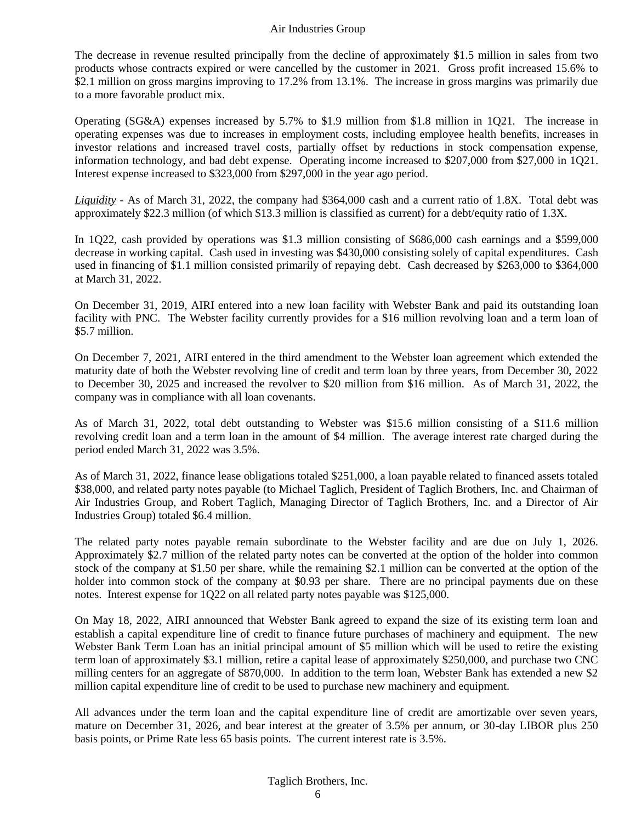The decrease in revenue resulted principally from the decline of approximately \$1.5 million in sales from two products whose contracts expired or were cancelled by the customer in 2021. Gross profit increased 15.6% to \$2.1 million on gross margins improving to 17.2% from 13.1%. The increase in gross margins was primarily due to a more favorable product mix.

Operating (SG&A) expenses increased by 5.7% to \$1.9 million from \$1.8 million in 1Q21. The increase in operating expenses was due to increases in employment costs, including employee health benefits, increases in investor relations and increased travel costs, partially offset by reductions in stock compensation expense, information technology, and bad debt expense. Operating income increased to \$207,000 from \$27,000 in 1Q21. Interest expense increased to \$323,000 from \$297,000 in the year ago period.

*Liquidity -* As of March 31, 2022, the company had \$364,000 cash and a current ratio of 1.8X. Total debt was approximately \$22.3 million (of which \$13.3 million is classified as current) for a debt/equity ratio of 1.3X.

In 1Q22, cash provided by operations was \$1.3 million consisting of \$686,000 cash earnings and a \$599,000 decrease in working capital. Cash used in investing was \$430,000 consisting solely of capital expenditures. Cash used in financing of \$1.1 million consisted primarily of repaying debt. Cash decreased by \$263,000 to \$364,000 at March 31, 2022.

On December 31, 2019, AIRI entered into a new loan facility with Webster Bank and paid its outstanding loan facility with PNC. The Webster facility currently provides for a \$16 million revolving loan and a term loan of \$5.7 million.

On December 7, 2021, AIRI entered in the third amendment to the Webster loan agreement which extended the maturity date of both the Webster revolving line of credit and term loan by three years, from December 30, 2022 to December 30, 2025 and increased the revolver to \$20 million from \$16 million. As of March 31, 2022, the company was in compliance with all loan covenants.

As of March 31, 2022, total debt outstanding to Webster was \$15.6 million consisting of a \$11.6 million revolving credit loan and a term loan in the amount of \$4 million. The average interest rate charged during the period ended March 31, 2022 was 3.5%.

As of March 31, 2022, finance lease obligations totaled \$251,000, a loan payable related to financed assets totaled \$38,000, and related party notes payable (to Michael Taglich, President of Taglich Brothers, Inc. and Chairman of Air Industries Group, and Robert Taglich, Managing Director of Taglich Brothers, Inc. and a Director of Air Industries Group) totaled \$6.4 million.

The related party notes payable remain subordinate to the Webster facility and are due on July 1, 2026. Approximately \$2.7 million of the related party notes can be converted at the option of the holder into common stock of the company at \$1.50 per share, while the remaining \$2.1 million can be converted at the option of the holder into common stock of the company at \$0.93 per share. There are no principal payments due on these notes. Interest expense for 1Q22 on all related party notes payable was \$125,000.

On May 18, 2022, AIRI announced that Webster Bank agreed to expand the size of its existing term loan and establish a capital expenditure line of credit to finance future purchases of machinery and equipment. The new Webster Bank Term Loan has an initial principal amount of \$5 million which will be used to retire the existing term loan of approximately \$3.1 million, retire a capital lease of approximately \$250,000, and purchase two CNC milling centers for an aggregate of \$870,000. In addition to the term loan, Webster Bank has extended a new \$2 million capital expenditure line of credit to be used to purchase new machinery and equipment.

All advances under the term loan and the capital expenditure line of credit are amortizable over seven years, mature on December 31, 2026, and bear interest at the greater of 3.5% per annum, or 30-day LIBOR plus 250 basis points, or Prime Rate less 65 basis points. The current interest rate is 3.5%.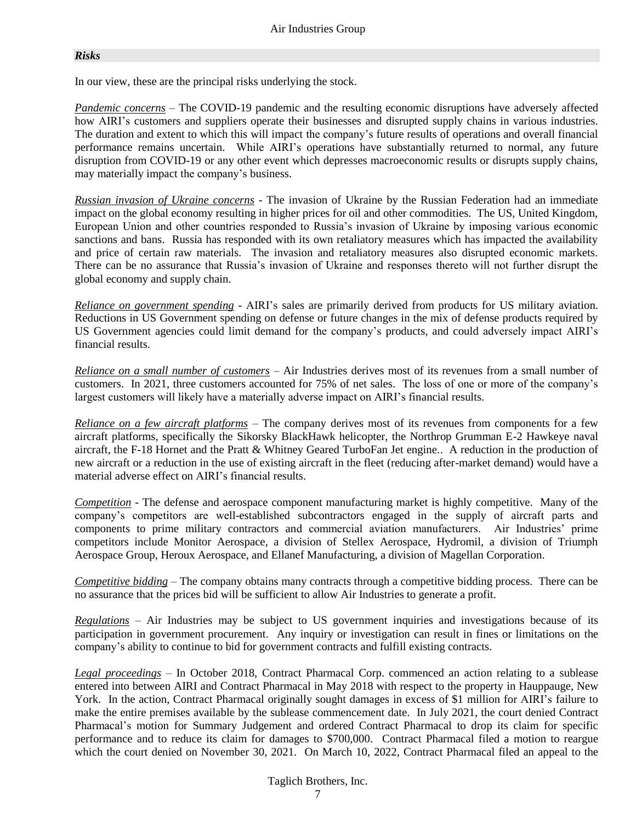#### *Risks*

In our view, these are the principal risks underlying the stock.

*Pandemic concerns* – The COVID-19 pandemic and the resulting economic disruptions have adversely affected how AIRI's customers and suppliers operate their businesses and disrupted supply chains in various industries. The duration and extent to which this will impact the company's future results of operations and overall financial performance remains uncertain. While AIRI's operations have substantially returned to normal, any future disruption from COVID-19 or any other event which depresses macroeconomic results or disrupts supply chains, may materially impact the company's business.

*Russian invasion of Ukraine concerns* - The invasion of Ukraine by the Russian Federation had an immediate impact on the global economy resulting in higher prices for oil and other commodities. The US, United Kingdom, European Union and other countries responded to Russia's invasion of Ukraine by imposing various economic sanctions and bans. Russia has responded with its own retaliatory measures which has impacted the availability and price of certain raw materials. The invasion and retaliatory measures also disrupted economic markets. There can be no assurance that Russia's invasion of Ukraine and responses thereto will not further disrupt the global economy and supply chain.

*Reliance on government spending* - AIRI's sales are primarily derived from products for US military aviation. Reductions in US Government spending on defense or future changes in the mix of defense products required by US Government agencies could limit demand for the company's products, and could adversely impact AIRI's financial results.

*Reliance on a small number of customers* – Air Industries derives most of its revenues from a small number of customers. In 2021, three customers accounted for 75% of net sales. The loss of one or more of the company's largest customers will likely have a materially adverse impact on AIRI's financial results.

*Reliance on a few aircraft platforms* – The company derives most of its revenues from components for a few aircraft platforms, specifically the Sikorsky BlackHawk helicopter, the Northrop Grumman E-2 Hawkeye naval aircraft, the F-18 Hornet and the Pratt & Whitney Geared TurboFan Jet engine.. A reduction in the production of new aircraft or a reduction in the use of existing aircraft in the fleet (reducing after-market demand) would have a material adverse effect on AIRI's financial results.

*Competition* - The defense and aerospace component manufacturing market is highly competitive. Many of the company's competitors are well-established subcontractors engaged in the supply of aircraft parts and components to prime military contractors and commercial aviation manufacturers. Air Industries' prime competitors include Monitor Aerospace, a division of Stellex Aerospace, Hydromil, a division of Triumph Aerospace Group, Heroux Aerospace, and Ellanef Manufacturing, a division of Magellan Corporation.

*Competitive bidding* – The company obtains many contracts through a competitive bidding process. There can be no assurance that the prices bid will be sufficient to allow Air Industries to generate a profit.

*Regulations* – Air Industries may be subject to US government inquiries and investigations because of its participation in government procurement. Any inquiry or investigation can result in fines or limitations on the company's ability to continue to bid for government contracts and fulfill existing contracts.

*Legal proceedings* – In October 2018, Contract Pharmacal Corp. commenced an action relating to a sublease entered into between AIRI and Contract Pharmacal in May 2018 with respect to the property in Hauppauge, New York. In the action, Contract Pharmacal originally sought damages in excess of \$1 million for AIRI's failure to make the entire premises available by the sublease commencement date. In July 2021, the court denied Contract Pharmacal's motion for Summary Judgement and ordered Contract Pharmacal to drop its claim for specific performance and to reduce its claim for damages to \$700,000. Contract Pharmacal filed a motion to reargue which the court denied on November 30, 2021. On March 10, 2022, Contract Pharmacal filed an appeal to the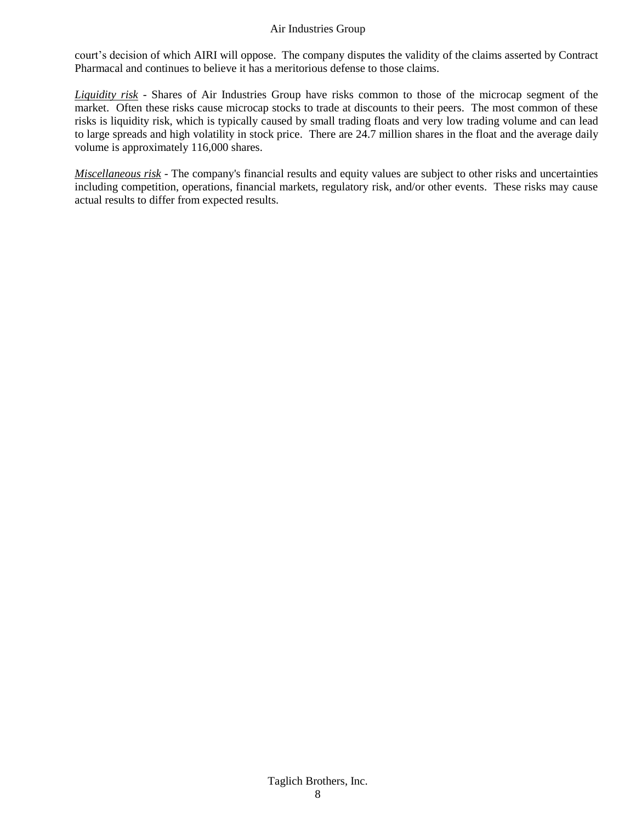court's decision of which AIRI will oppose. The company disputes the validity of the claims asserted by Contract Pharmacal and continues to believe it has a meritorious defense to those claims.

*Liquidity risk* - Shares of Air Industries Group have risks common to those of the microcap segment of the market. Often these risks cause microcap stocks to trade at discounts to their peers. The most common of these risks is liquidity risk, which is typically caused by small trading floats and very low trading volume and can lead to large spreads and high volatility in stock price. There are 24.7 million shares in the float and the average daily volume is approximately 116,000 shares.

*Miscellaneous risk* - The company's financial results and equity values are subject to other risks and uncertainties including competition, operations, financial markets, regulatory risk, and/or other events. These risks may cause actual results to differ from expected results.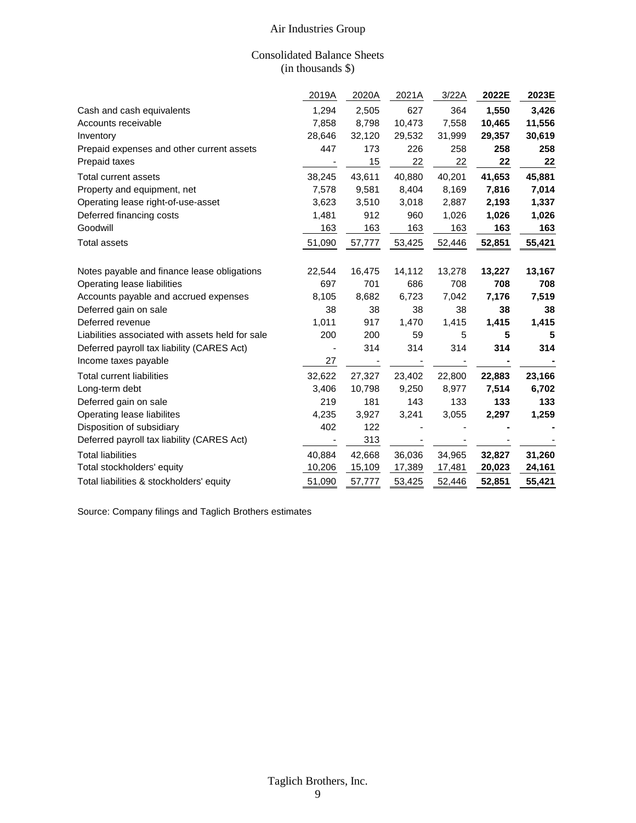#### Consolidated Balance Sheets (in thousands \$)

|                                                  | 2019A  | 2020A  | 2021A  | 3/22A  | 2022E  | 2023E  |
|--------------------------------------------------|--------|--------|--------|--------|--------|--------|
| Cash and cash equivalents                        | 1,294  | 2,505  | 627    | 364    | 1,550  | 3,426  |
| Accounts receivable                              | 7,858  | 8,798  | 10,473 | 7,558  | 10,465 | 11,556 |
| Inventory                                        | 28,646 | 32,120 | 29,532 | 31,999 | 29,357 | 30,619 |
| Prepaid expenses and other current assets        | 447    | 173    | 226    | 258    | 258    | 258    |
| Prepaid taxes                                    |        | 15     | 22     | 22     | 22     | 22     |
| <b>Total current assets</b>                      | 38,245 | 43,611 | 40,880 | 40,201 | 41,653 | 45,881 |
| Property and equipment, net                      | 7,578  | 9,581  | 8,404  | 8,169  | 7,816  | 7,014  |
| Operating lease right-of-use-asset               | 3,623  | 3,510  | 3,018  | 2,887  | 2,193  | 1,337  |
| Deferred financing costs                         | 1,481  | 912    | 960    | 1,026  | 1,026  | 1,026  |
| Goodwill                                         | 163    | 163    | 163    | 163    | 163    | 163    |
| <b>Total assets</b>                              | 51,090 | 57,777 | 53,425 | 52,446 | 52,851 | 55,421 |
| Notes payable and finance lease obligations      | 22,544 | 16,475 | 14,112 | 13,278 | 13,227 | 13,167 |
| Operating lease liabilities                      | 697    | 701    | 686    | 708    | 708    | 708    |
| Accounts payable and accrued expenses            | 8,105  | 8,682  | 6,723  | 7,042  | 7,176  | 7,519  |
| Deferred gain on sale                            | 38     | 38     | 38     | 38     | 38     | 38     |
| Deferred revenue                                 | 1,011  | 917    | 1,470  | 1,415  | 1,415  | 1,415  |
| Liabilities associated with assets held for sale | 200    | 200    | 59     | 5      | 5      | 5      |
| Deferred payroll tax liability (CARES Act)       |        | 314    | 314    | 314    | 314    | 314    |
| Income taxes payable                             | 27     |        |        |        |        |        |
| <b>Total current liabilities</b>                 | 32,622 | 27,327 | 23,402 | 22,800 | 22,883 | 23,166 |
| Long-term debt                                   | 3,406  | 10,798 | 9,250  | 8,977  | 7,514  | 6,702  |
| Deferred gain on sale                            | 219    | 181    | 143    | 133    | 133    | 133    |
| Operating lease liabilites                       | 4,235  | 3,927  | 3,241  | 3,055  | 2,297  | 1,259  |
| Disposition of subsidiary                        | 402    | 122    |        |        |        |        |
| Deferred payroll tax liability (CARES Act)       |        | 313    |        |        |        |        |
| <b>Total liabilities</b>                         | 40,884 | 42,668 | 36,036 | 34,965 | 32,827 | 31,260 |
| Total stockholders' equity                       | 10,206 | 15,109 | 17,389 | 17,481 | 20,023 | 24,161 |
| Total liabilities & stockholders' equity         | 51,090 | 57,777 | 53,425 | 52,446 | 52,851 | 55,421 |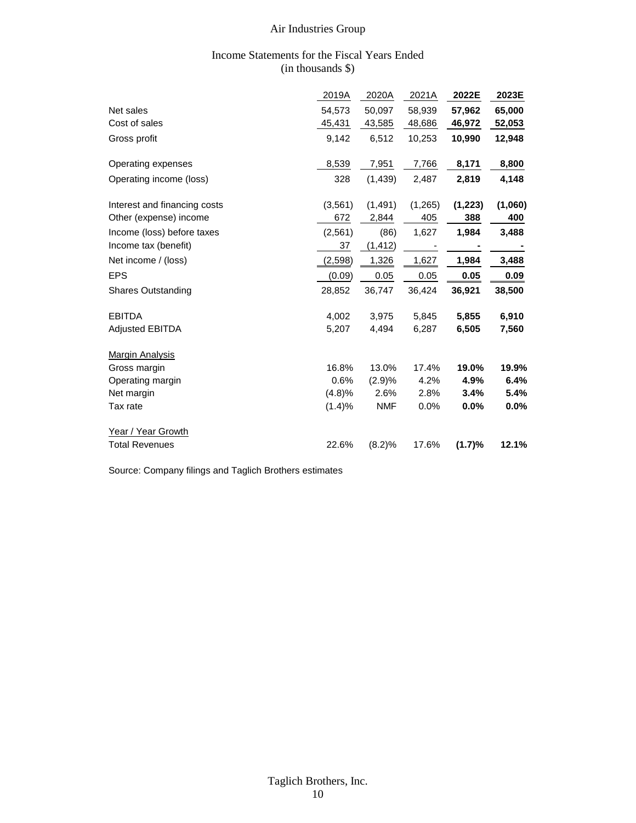#### Income Statements for the Fiscal Years Ended (in thousands \$)

|                                             | 2019A    | 2020A      | 2021A    | 2022E   | 2023E   |
|---------------------------------------------|----------|------------|----------|---------|---------|
| Net sales                                   | 54,573   | 50,097     | 58,939   | 57,962  | 65,000  |
| Cost of sales                               | 45,431   | 43,585     | 48,686   | 46,972  | 52,053  |
| Gross profit                                | 9,142    | 6,512      | 10,253   | 10,990  | 12,948  |
| Operating expenses                          | 8,539    | 7,951      | 7,766    | 8,171   | 8,800   |
| Operating income (loss)                     | 328      | (1, 439)   | 2,487    | 2,819   | 4,148   |
| Interest and financing costs                | (3, 561) | (1,491)    | (1, 265) | (1,223) | (1,060) |
| Other (expense) income                      | 672      | 2,844      | 405      | 388     | 400     |
| Income (loss) before taxes                  | (2,561)  | (86)       | 1,627    | 1,984   | 3,488   |
| Income tax (benefit)                        | 37       | (1, 412)   |          |         |         |
| Net income / (loss)                         | (2,598)  | 1,326      | 1,627    | 1,984   | 3,488   |
|                                             |          |            |          |         |         |
| <b>EPS</b>                                  | (0.09)   | 0.05       | 0.05     | 0.05    | 0.09    |
| <b>Shares Outstanding</b>                   | 28,852   | 36,747     | 36,424   | 36,921  | 38,500  |
| <b>EBITDA</b>                               | 4,002    | 3,975      | 5,845    | 5,855   | 6,910   |
| <b>Adjusted EBITDA</b>                      | 5,207    | 4,494      | 6,287    | 6,505   | 7,560   |
| <b>Margin Analysis</b>                      |          |            |          |         |         |
| Gross margin                                | 16.8%    | 13.0%      | 17.4%    | 19.0%   | 19.9%   |
| Operating margin                            | 0.6%     | (2.9)%     | 4.2%     | 4.9%    | 6.4%    |
| Net margin                                  | (4.8)%   | 2.6%       | 2.8%     | 3.4%    | 5.4%    |
| Tax rate                                    | (1.4)%   | <b>NMF</b> | $0.0\%$  | 0.0%    | 0.0%    |
| Year / Year Growth<br><b>Total Revenues</b> | 22.6%    | (8.2)%     | 17.6%    | (1.7)%  | 12.1%   |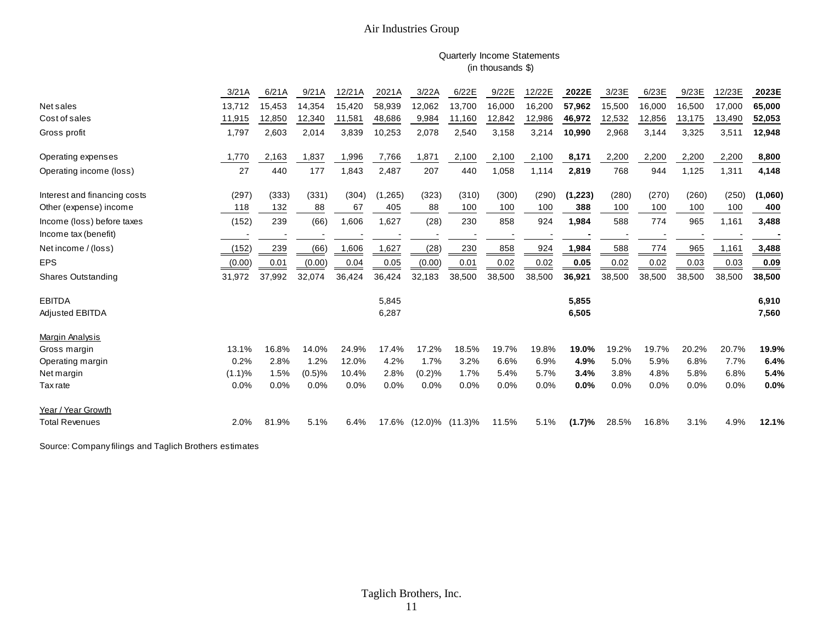#### Quarterly Income Statements (in thousands \$)

|                              | 3/21A  | 6/21A  | 9/21A  | 12/21A | 2021A   | 3/22A  | 6/22E                 | 9/22E  | 12/22E | 2022E   | 3/23E  | 6/23E  | 9/23E  | 12/23E | 2023E   |
|------------------------------|--------|--------|--------|--------|---------|--------|-----------------------|--------|--------|---------|--------|--------|--------|--------|---------|
| Net sales                    | 13,712 | 15,453 | 14,354 | 15,420 | 58,939  | 12,062 | 13,700                | 16,000 | 16,200 | 57,962  | 15,500 | 16,000 | 16,500 | 17,000 | 65,000  |
| Cost of sales                | 11,915 | 12,850 | 12,340 | 11,581 | 48,686  | 9,984  | 11,160                | 12,842 | 12,986 | 46,972  | 12,532 | 12,856 | 13,175 | 13,490 | 52,053  |
| Gross profit                 | 1,797  | 2,603  | 2,014  | 3,839  | 10,253  | 2,078  | 2,540                 | 3,158  | 3,214  | 10,990  | 2,968  | 3,144  | 3,325  | 3,511  | 12,948  |
| Operating expenses           | 1,770  | 2,163  | 1,837  | 1,996  | 7,766   | 1,871  | 2,100                 | 2,100  | 2,100  | 8,171   | 2,200  | 2,200  | 2,200  | 2,200  | 8,800   |
| Operating income (loss)      | 27     | 440    | 177    | 1,843  | 2,487   | 207    | 440                   | 1,058  | 1,114  | 2,819   | 768    | 944    | 1,125  | 1,311  | 4,148   |
| Interest and financing costs | (297)  | (333)  | (331)  | (304)  | (1,265) | (323)  | (310)                 | (300)  | (290)  | (1,223) | (280)  | (270)  | (260)  | (250)  | (1,060) |
| Other (expense) income       | 118    | 132    | 88     | 67     | 405     | 88     | 100                   | 100    | 100    | 388     | 100    | 100    | 100    | 100    | 400     |
| Income (loss) before taxes   | (152)  | 239    | (66)   | 1,606  | 1.627   | (28)   | 230                   | 858    | 924    | 1,984   | 588    | 774    | 965    | 1,161  | 3,488   |
| Income tax (benefit)         |        |        |        |        |         |        |                       |        |        |         |        |        |        |        |         |
| Net income / (loss)          | (152)  | 239    | (66)   | 1,606  | 1,627   | (28)   | 230                   | 858    | 924    | 1,984   | 588    | 774    | 965    | 1,161  | 3,488   |
| <b>EPS</b>                   | (0.00) | 0.01   | (0.00) | 0.04   | 0.05    | (0.00) | 0.01                  | 0.02   | 0.02   | 0.05    | 0.02   | 0.02   | 0.03   | 0.03   | 0.09    |
| <b>Shares Outstanding</b>    | 31,972 | 37,992 | 32,074 | 36,424 | 36,424  | 32,183 | 38,500                | 38,500 | 38,500 | 36,921  | 38,500 | 38,500 | 38,500 | 38,500 | 38,500  |
| <b>EBITDA</b>                |        |        |        |        | 5,845   |        |                       |        |        | 5,855   |        |        |        |        | 6,910   |
| Adjusted EBITDA              |        |        |        |        | 6,287   |        |                       |        |        | 6,505   |        |        |        |        | 7,560   |
| Margin Analysis              |        |        |        |        |         |        |                       |        |        |         |        |        |        |        |         |
| Gross margin                 | 13.1%  | 16.8%  | 14.0%  | 24.9%  | 17.4%   | 17.2%  | 18.5%                 | 19.7%  | 19.8%  | 19.0%   | 19.2%  | 19.7%  | 20.2%  | 20.7%  | 19.9%   |
| Operating margin             | 0.2%   | 2.8%   | 1.2%   | 12.0%  | 4.2%    | 1.7%   | 3.2%                  | 6.6%   | 6.9%   | 4.9%    | 5.0%   | 5.9%   | 6.8%   | 7.7%   | 6.4%    |
| Net margin                   | (1.1)% | 1.5%   | (0.5)% | 10.4%  | 2.8%    | (0.2)% | 1.7%                  | 5.4%   | 5.7%   | 3.4%    | 3.8%   | 4.8%   | 5.8%   | 6.8%   | 5.4%    |
| <b>Tax</b> rate              | 0.0%   | 0.0%   | 0.0%   | 0.0%   | 0.0%    | 0.0%   | 0.0%                  | 0.0%   | 0.0%   | 0.0%    | 0.0%   | 0.0%   | 0.0%   | 0.0%   | 0.0%    |
| Year / Year Growth           |        |        |        |        |         |        |                       |        |        |         |        |        |        |        |         |
| <b>Total Revenues</b>        | 2.0%   | 81.9%  | 5.1%   | 6.4%   |         |        | 17.6% (12.0)% (11.3)% | 11.5%  | 5.1%   | (1.7)%  | 28.5%  | 16.8%  | 3.1%   | 4.9%   | 12.1%   |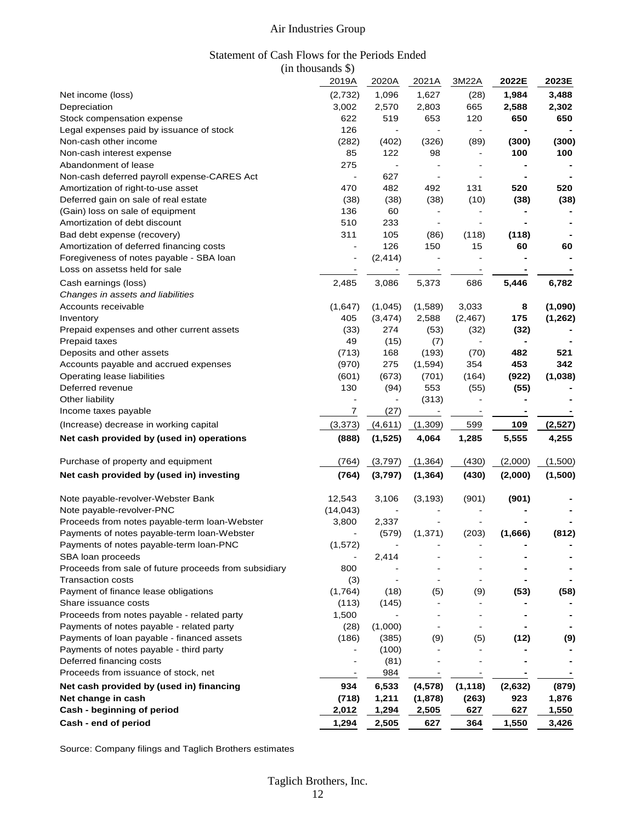#### Statement of Cash Flows for the Periods Ended (in thousands \$)

|                                                       | 2019A                        | 2020A          | 2021A                    | 3M22A          | 2022E   | 2023E    |
|-------------------------------------------------------|------------------------------|----------------|--------------------------|----------------|---------|----------|
| Net income (loss)                                     | (2,732)                      | 1,096          | 1,627                    | (28)           | 1,984   | 3,488    |
| Depreciation                                          | 3,002                        | 2,570          | 2,803                    | 665            | 2,588   | 2,302    |
| Stock compensation expense                            | 622                          | 519            | 653                      | 120            | 650     | 650      |
| Legal expenses paid by issuance of stock              | 126                          | $\sim$         | $\blacksquare$           | $\blacksquare$ |         |          |
| Non-cash other income                                 | (282)                        | (402)          | (326)                    | (89)           | (300)   | (300)    |
| Non-cash interest expense                             | 85                           | 122            | 98                       | $\frac{1}{2}$  | 100     | 100      |
| Abandonment of lease                                  | 275                          | $\blacksquare$ |                          | $\overline{a}$ |         |          |
| Non-cash deferred payroll expense-CARES Act           |                              | 627            | $\overline{\phantom{a}}$ |                |         |          |
| Amortization of right-to-use asset                    | 470                          | 482            | 492                      | 131            | 520     | 520      |
| Deferred gain on sale of real estate                  | (38)                         | (38)           | (38)                     | (10)           | (38)    | (38)     |
| (Gain) loss on sale of equipment                      | 136                          | 60             |                          |                |         |          |
| Amortization of debt discount                         | 510                          | 233            |                          |                |         |          |
| Bad debt expense (recovery)                           | 311                          | 105            | (86)                     | (118)          | (118)   |          |
| Amortization of deferred financing costs              |                              | 126            | 150                      | 15             | 60      | 60       |
| Foregiveness of notes payable - SBA loan              | $\qquad \qquad \blacksquare$ | (2, 414)       |                          |                |         |          |
| Loss on assetss held for sale                         |                              |                |                          |                |         |          |
| Cash earnings (loss)                                  | 2,485                        | 3,086          | 5,373                    | 686            | 5,446   | 6,782    |
| Changes in assets and liabilities                     |                              |                |                          |                |         |          |
| Accounts receivable                                   | (1,647)                      | (1,045)        | (1,589)                  | 3,033          | 8       | (1,090)  |
| Inventory                                             | 405                          | (3, 474)       | 2,588                    | (2, 467)       | 175     | (1, 262) |
| Prepaid expenses and other current assets             | (33)                         | 274            | (53)                     | (32)           | (32)    |          |
| Prepaid taxes                                         | 49                           | (15)           | (7)                      |                |         |          |
| Deposits and other assets                             | (713)                        | 168            | (193)                    | (70)           | 482     | 521      |
| Accounts payable and accrued expenses                 | (970)                        | 275            | (1,594)                  | 354            | 453     | 342      |
| Operating lease liabilities                           | (601)                        | (673)          | (701)                    | (164)          | (922)   | (1,038)  |
| Deferred revenue                                      | 130                          | (94)           | 553                      | (55)           | (55)    |          |
| Other liability                                       |                              |                | (313)                    |                |         |          |
| Income taxes payable                                  | 7                            | (27)           |                          |                |         |          |
| (Increase) decrease in working capital                | (3,373)                      | (4,611)        | (1,309)                  | 599            | 109     | (2, 527) |
| Net cash provided by (used in) operations             | (888)                        | (1, 525)       | 4,064                    | 1,285          | 5,555   | 4,255    |
| Purchase of property and equipment                    | (764)                        | (3,797)        | (1, 364)                 | (430)          | (2,000) | (1,500)  |
| Net cash provided by (used in) investing              | (764)                        | (3,797)        | (1, 364)                 | (430)          | (2,000) | (1,500)  |
| Note payable-revolver-Webster Bank                    | 12,543                       | 3,106          | (3, 193)                 | (901)          | (901)   |          |
| Note payable-revolver-PNC                             | (14, 043)                    |                |                          |                |         |          |
| Proceeds from notes payable-term loan-Webster         | 3,800                        | 2,337          |                          |                |         |          |
| Payments of notes payable-term loan-Webster           |                              | (579)          | (1, 371)                 | (203)          | (1,666) | (812)    |
| Payments of notes payable-term loan-PNC               | (1, 572)                     |                |                          |                |         |          |
| SBA loan proceeds                                     |                              | 2,414          |                          |                |         |          |
| Proceeds from sale of future proceeds from subsidiary | 800                          |                |                          |                |         |          |
| <b>Transaction costs</b>                              | (3)                          |                |                          | $\blacksquare$ |         |          |
| Payment of finance lease obligations                  | (1,764)                      | (18)           | (5)                      | (9)            | (53)    | (58)     |
| Share issuance costs                                  | (113)                        | (145)          |                          |                |         |          |
| Proceeds from notes payable - related party           | 1,500                        |                |                          |                |         |          |
| Payments of notes payable - related party             | (28)                         | (1,000)        |                          |                |         |          |
| Payments of loan payable - financed assets            | (186)                        | (385)          | (9)                      | (5)            | (12)    | (9)      |
| Payments of notes payable - third party               |                              | (100)          |                          |                |         |          |
| Deferred financing costs                              |                              | (81)           |                          |                |         |          |
| Proceeds from issuance of stock, net                  |                              | 984            |                          |                |         |          |
| Net cash provided by (used in) financing              | 934                          | 6,533          | (4, 578)                 | (1, 118)       | (2,632) | (879)    |
| Net change in cash                                    | (718)                        | 1,211          | (1,878)                  | (263)          | 923     | 1,876    |
| Cash - beginning of period                            | 2,012                        | 1,294          | 2,505                    | 627            | 627     | 1,550    |
| Cash - end of period                                  | 1,294                        | 2,505          | 627                      | 364            | 1,550   | 3,426    |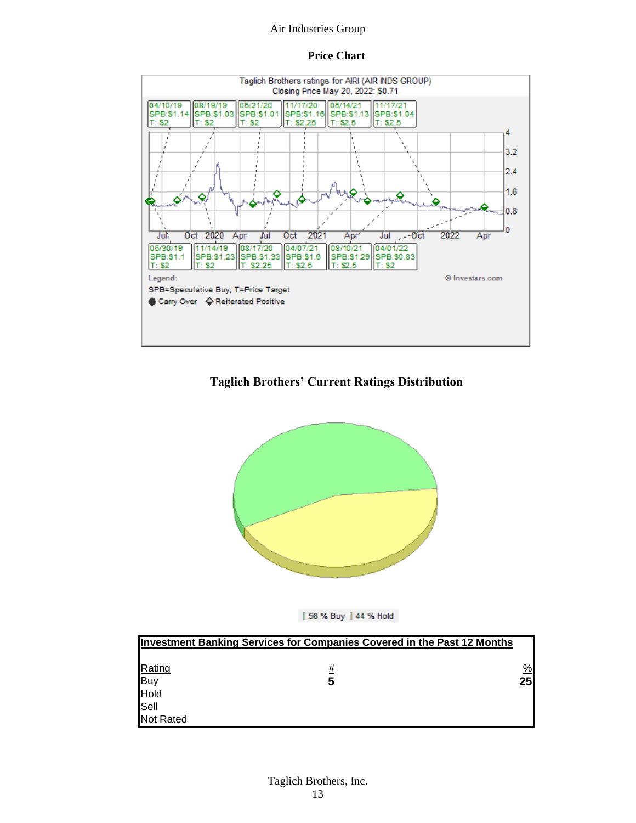#### **Price Chart**



#### **Taglich Brothers' Current Ratings Distribution**





|             | <b>Investment Banking Services for Companies Covered in the Past 12 Months</b> |               |
|-------------|--------------------------------------------------------------------------------|---------------|
|             |                                                                                |               |
| Rating      | #                                                                              | $\frac{9}{6}$ |
|             | 5                                                                              | 25            |
| Buy<br>Hold |                                                                                |               |
| Sell        |                                                                                |               |
| Not Rated   |                                                                                |               |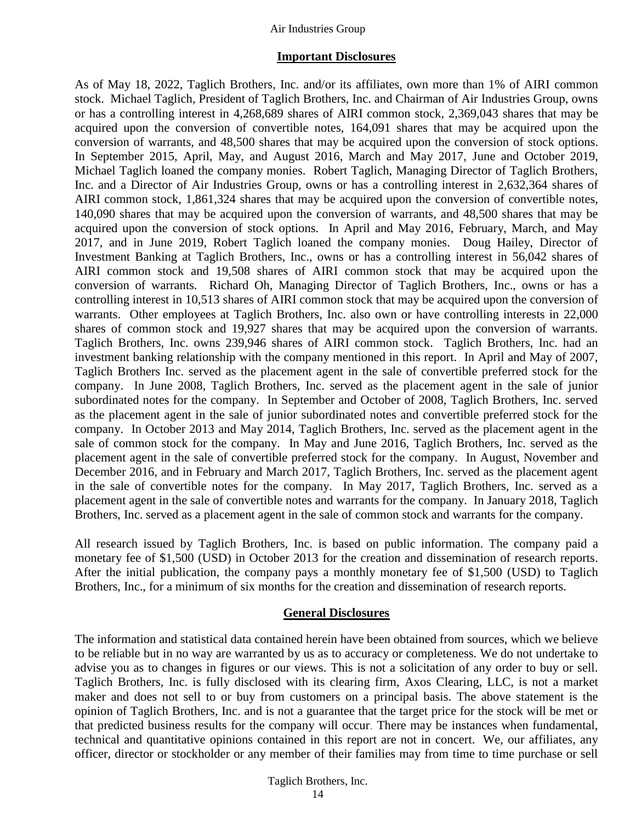#### **Important Disclosures**

As of May 18, 2022, Taglich Brothers, Inc. and/or its affiliates, own more than 1% of AIRI common stock. Michael Taglich, President of Taglich Brothers, Inc. and Chairman of Air Industries Group, owns or has a controlling interest in 4,268,689 shares of AIRI common stock, 2,369,043 shares that may be acquired upon the conversion of convertible notes, 164,091 shares that may be acquired upon the conversion of warrants, and 48,500 shares that may be acquired upon the conversion of stock options. In September 2015, April, May, and August 2016, March and May 2017, June and October 2019, Michael Taglich loaned the company monies. Robert Taglich, Managing Director of Taglich Brothers, Inc. and a Director of Air Industries Group, owns or has a controlling interest in 2,632,364 shares of AIRI common stock, 1,861,324 shares that may be acquired upon the conversion of convertible notes, 140,090 shares that may be acquired upon the conversion of warrants, and 48,500 shares that may be acquired upon the conversion of stock options. In April and May 2016, February, March, and May 2017, and in June 2019, Robert Taglich loaned the company monies. Doug Hailey, Director of Investment Banking at Taglich Brothers, Inc., owns or has a controlling interest in 56,042 shares of AIRI common stock and 19,508 shares of AIRI common stock that may be acquired upon the conversion of warrants. Richard Oh, Managing Director of Taglich Brothers, Inc., owns or has a controlling interest in 10,513 shares of AIRI common stock that may be acquired upon the conversion of warrants. Other employees at Taglich Brothers, Inc. also own or have controlling interests in 22,000 shares of common stock and 19,927 shares that may be acquired upon the conversion of warrants. Taglich Brothers, Inc. owns 239,946 shares of AIRI common stock. Taglich Brothers, Inc. had an investment banking relationship with the company mentioned in this report. In April and May of 2007, Taglich Brothers Inc. served as the placement agent in the sale of convertible preferred stock for the company. In June 2008, Taglich Brothers, Inc. served as the placement agent in the sale of junior subordinated notes for the company. In September and October of 2008, Taglich Brothers, Inc. served as the placement agent in the sale of junior subordinated notes and convertible preferred stock for the company. In October 2013 and May 2014, Taglich Brothers, Inc. served as the placement agent in the sale of common stock for the company. In May and June 2016, Taglich Brothers, Inc. served as the placement agent in the sale of convertible preferred stock for the company. In August, November and December 2016, and in February and March 2017, Taglich Brothers, Inc. served as the placement agent in the sale of convertible notes for the company. In May 2017, Taglich Brothers, Inc. served as a placement agent in the sale of convertible notes and warrants for the company. In January 2018, Taglich Brothers, Inc. served as a placement agent in the sale of common stock and warrants for the company.

All research issued by Taglich Brothers, Inc. is based on public information. The company paid a monetary fee of \$1,500 (USD) in October 2013 for the creation and dissemination of research reports. After the initial publication, the company pays a monthly monetary fee of \$1,500 (USD) to Taglich Brothers, Inc., for a minimum of six months for the creation and dissemination of research reports.

#### **General Disclosures**

The information and statistical data contained herein have been obtained from sources, which we believe to be reliable but in no way are warranted by us as to accuracy or completeness. We do not undertake to advise you as to changes in figures or our views. This is not a solicitation of any order to buy or sell. Taglich Brothers, Inc. is fully disclosed with its clearing firm, Axos Clearing, LLC, is not a market maker and does not sell to or buy from customers on a principal basis. The above statement is the opinion of Taglich Brothers, Inc. and is not a guarantee that the target price for the stock will be met or that predicted business results for the company will occur. There may be instances when fundamental, technical and quantitative opinions contained in this report are not in concert. We, our affiliates, any officer, director or stockholder or any member of their families may from time to time purchase or sell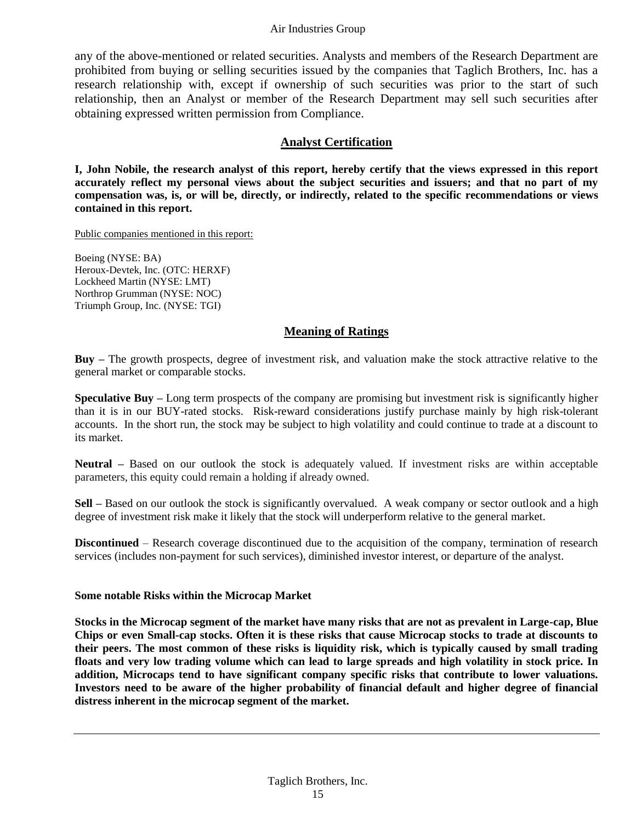any of the above-mentioned or related securities. Analysts and members of the Research Department are prohibited from buying or selling securities issued by the companies that Taglich Brothers, Inc. has a research relationship with, except if ownership of such securities was prior to the start of such relationship, then an Analyst or member of the Research Department may sell such securities after obtaining expressed written permission from Compliance.

#### **Analyst Certification**

**I, John Nobile, the research analyst of this report, hereby certify that the views expressed in this report accurately reflect my personal views about the subject securities and issuers; and that no part of my compensation was, is, or will be, directly, or indirectly, related to the specific recommendations or views contained in this report.**

Public companies mentioned in this report:

Boeing (NYSE: BA) Heroux-Devtek, Inc. (OTC: HERXF) Lockheed Martin (NYSE: LMT) Northrop Grumman (NYSE: NOC) Triumph Group, Inc. (NYSE: TGI)

#### **Meaning of Ratings**

**Buy –** The growth prospects, degree of investment risk, and valuation make the stock attractive relative to the general market or comparable stocks.

**Speculative Buy** – Long term prospects of the company are promising but investment risk is significantly higher than it is in our BUY-rated stocks. Risk-reward considerations justify purchase mainly by high risk-tolerant accounts. In the short run, the stock may be subject to high volatility and could continue to trade at a discount to its market.

**Neutral** – Based on our outlook the stock is adequately valued. If investment risks are within acceptable parameters, this equity could remain a holding if already owned.

**Sell** – Based on our outlook the stock is significantly overvalued. A weak company or sector outlook and a high degree of investment risk make it likely that the stock will underperform relative to the general market.

**Discontinued** – Research coverage discontinued due to the acquisition of the company, termination of research services (includes non-payment for such services), diminished investor interest, or departure of the analyst.

#### **Some notable Risks within the Microcap Market**

**Stocks in the Microcap segment of the market have many risks that are not as prevalent in Large-cap, Blue Chips or even Small-cap stocks. Often it is these risks that cause Microcap stocks to trade at discounts to their peers. The most common of these risks is liquidity risk, which is typically caused by small trading floats and very low trading volume which can lead to large spreads and high volatility in stock price. In addition, Microcaps tend to have significant company specific risks that contribute to lower valuations. Investors need to be aware of the higher probability of financial default and higher degree of financial distress inherent in the microcap segment of the market.**